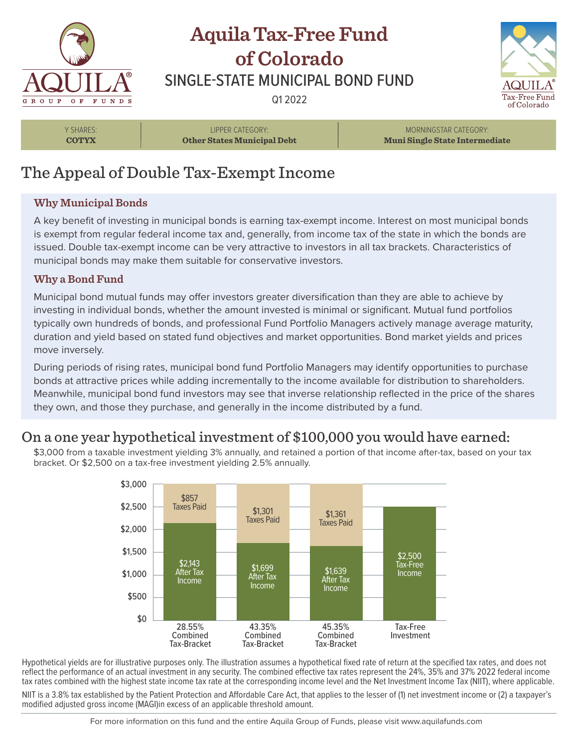

# **Aquila Tax-Free Fund of Colorado** SINGLE-STATE MUNICIPAL BOND FUND

Q1 2022



Y SHARES: **COTYX**

LIPPER CATEGORY: **Other States Municipal Debt**

MORNINGSTAR CATEGORY: **Muni Single State Intermediate**

## The Appeal of Double Tax-Exempt Income

#### **Why Municipal Bonds**

A key benefit of investing in municipal bonds is earning tax-exempt income. Interest on most municipal bonds is exempt from regular federal income tax and, generally, from income tax of the state in which the bonds are issued. Double tax-exempt income can be very attractive to investors in all tax brackets. Characteristics of municipal bonds may make them suitable for conservative investors.

#### **Why a Bond Fund**

Municipal bond mutual funds may offer investors greater diversification than they are able to achieve by investing in individual bonds, whether the amount invested is minimal or significant. Mutual fund portfolios typically own hundreds of bonds, and professional Fund Portfolio Managers actively manage average maturity, duration and yield based on stated fund objectives and market opportunities. Bond market yields and prices move inversely.

During periods of rising rates, municipal bond fund Portfolio Managers may identify opportunities to purchase bonds at attractive prices while adding incrementally to the income available for distribution to shareholders. Meanwhile, municipal bond fund investors may see that inverse relationship reflected in the price of the shares they own, and those they purchase, and generally in the income distributed by a fund.

### On a one year hypothetical investment of \$100,000 you would have earned:

\$3,000 from a taxable investment yielding 3% annually, and retained a portion of that income after-tax, based on your tax bracket. Or \$2,500 on a tax-free investment yielding 2.5% annually.



Hypothetical yields are for illustrative purposes only. The illustration assumes a hypothetical fixed rate of return at the specified tax rates, and does not reflect the performance of an actual investment in any security. The combined effective tax rates represent the 24%, 35% and 37% 2022 federal income tax rates combined with the highest state income tax rate at the corresponding income level and the Net Investment Income Tax (NIIT), where applicable.

NIIT is a 3.8% tax established by the Patient Protection and Affordable Care Act, that applies to the lesser of (1) net investment income or (2) a taxpayer's modified adjusted gross income (MAGI)in excess of an applicable threshold amount.